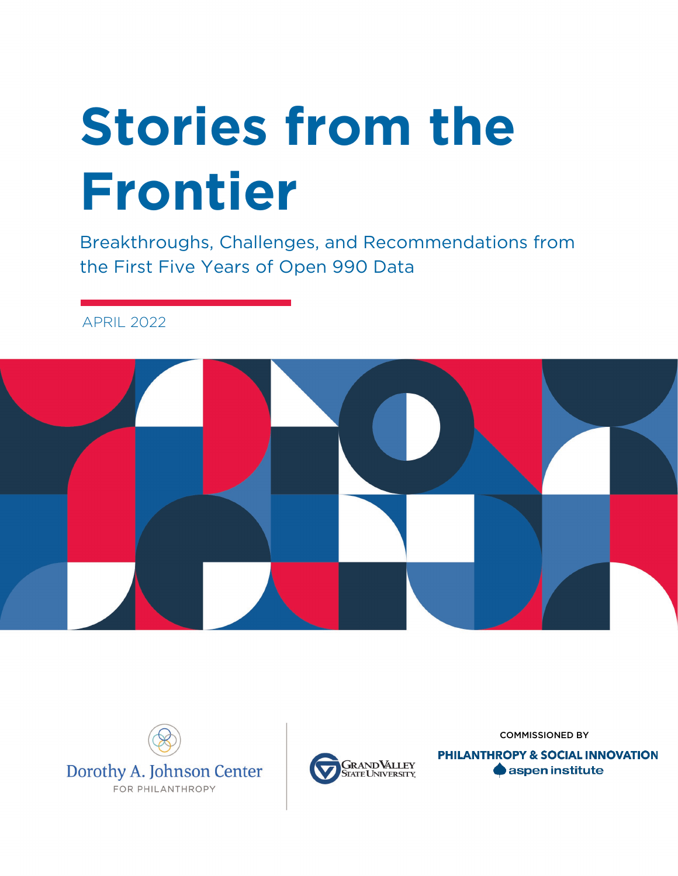# **Stories from the Frontier**

Breakthroughs, Challenges, and Recommendations from the First Five Years of Open 990 Data

APRIL 2022







COMMISSIONED BY

**PHILANTHROPY & SOCIAL INNOVATION** aspen institute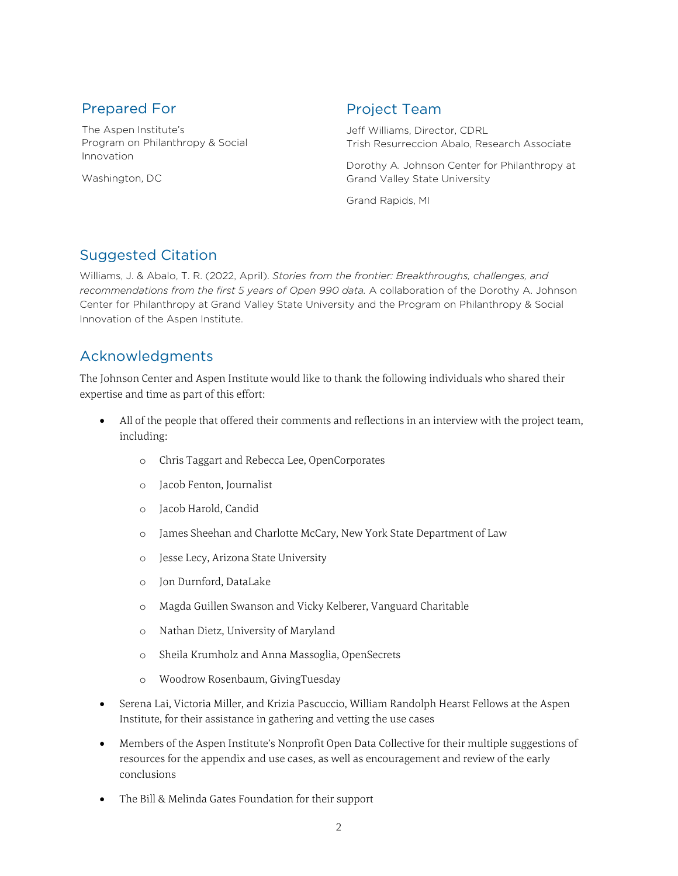#### Prepared For

The Aspen Institute's Program on Philanthropy & Social Innovation

Washington, DC

#### Project Team

Jeff Williams, Director, CDRL Trish Resurreccion Abalo, Research Associate

Dorothy A. Johnson Center for Philanthropy at Grand Valley State University

Grand Rapids, MI

#### Suggested Citation

Williams, J. & Abalo, T. R. (2022, April). *Stories from the frontier: Breakthroughs, challenges, and recommendations from the first 5 years of Open 990 data.* A collaboration of the Dorothy A. Johnson Center for Philanthropy at Grand Valley State University and the Program on Philanthropy & Social Innovation of the Aspen Institute.

#### Acknowledgments

The Johnson Center and Aspen Institute would like to thank the following individuals who shared their expertise and time as part of this effort:

- All of the people that offered their comments and reflections in an interview with the project team, including:
	- o Chris Taggart and Rebecca Lee, OpenCorporates
	- o Jacob Fenton, Journalist
	- o Jacob Harold, Candid
	- o James Sheehan and Charlotte McCary, New York State Department of Law
	- o Jesse Lecy, Arizona State University
	- o Jon Durnford, DataLake
	- o Magda Guillen Swanson and Vicky Kelberer, Vanguard Charitable
	- o Nathan Dietz, University of Maryland
	- o Sheila Krumholz and Anna Massoglia, OpenSecrets
	- o Woodrow Rosenbaum, GivingTuesday
- Serena Lai, Victoria Miller, and Krizia Pascuccio, William Randolph Hearst Fellows at the Aspen Institute, for their assistance in gathering and vetting the use cases
- Members of the Aspen Institute's Nonprofit Open Data Collective for their multiple suggestions of resources for the appendix and use cases, as well as encouragement and review of the early conclusions
- The Bill & Melinda Gates Foundation for their support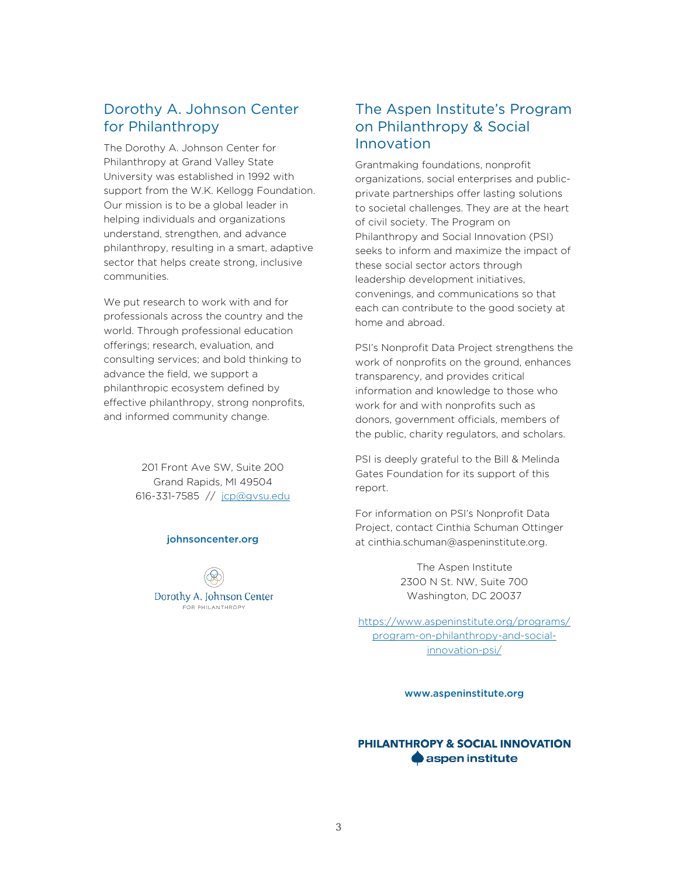#### Dorothy A. Johnson Center for Philanthropy

The Dorothy A. Johnson Center for Philanthropy at Grand Valley State University was established in 1992 with support from the W.K. Kellogg Foundation. Our mission is to be a global leader in helping individuals and organizations understand, strengthen, and advance philanthropy, resulting in a smart, adaptive sector that helps create strong, inclusive communities.

We put research to work with and for professionals across the country and the world. Through professional education offerings; research, evaluation, and consulting services; and bold thinking to advance the field, we support a philanthropic ecosystem defined by effective philanthropy, strong nonprofits, and informed community change.

> 201 Front Ave SW, Suite 200 Grand Rapids, MI 49504 616-331-7585 // [jcp@gvsu.edu](mailto:jcp@gvsu.edu)

#### johnsoncenter.org

Dorothy A, Johnson Center FOR PHILANTHROPY

#### The Aspen Institute's Program on Philanthropy & Social Innovation

Grantmaking foundations, nonprofit organizations, social enterprises and publicprivate partnerships offer lasting solutions to societal challenges. They are at the heart of civil society. The Program on Philanthropy and Social Innovation (PSI) seeks to inform and maximize the impact of these social sector actors through leadership development initiatives, convenings, and communications so that each can contribute to the good society at home and abroad.

PSI's Nonprofit Data Project strengthens the work of nonprofits on the ground, enhances transparency, and provides critical information and knowledge to those who work for and with nonprofits such as donors, government officials, members of the public, charity regulators, and scholars.

PSI is deeply grateful to the Bill & Melinda Gates Foundation for its support of this report.

For information on PSI's Nonprofit Data Project, contact Cinthia Schuman Ottinger at cinthia.schuman@aspeninstitute.org.

> The Aspen Institute 2300 N St. NW, Suite 700 Washington, DC 20037

[https://www.aspeninstitute.org/programs/](https://www.aspeninstitute.org/programs/program-on-philanthropy-and-social-innovation-psi/) [program-on-philanthropy-and-social](https://www.aspeninstitute.org/programs/program-on-philanthropy-and-social-innovation-psi/)[innovation-psi/](https://www.aspeninstitute.org/programs/program-on-philanthropy-and-social-innovation-psi/)

www.aspeninstitute.org

#### PHILANTHROPY & SOCIAL INNOVATION **A** aspen institute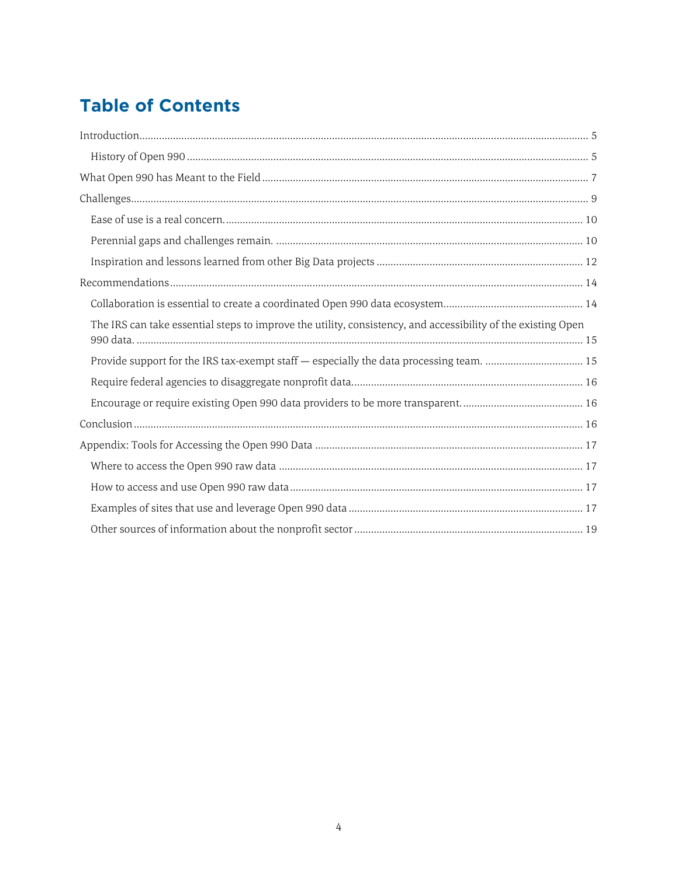## **Table of Contents**

| The IRS can take essential steps to improve the utility, consistency, and accessibility of the existing Open |
|--------------------------------------------------------------------------------------------------------------|
| Provide support for the IRS tax-exempt staff - especially the data processing team.  15                      |
|                                                                                                              |
|                                                                                                              |
|                                                                                                              |
|                                                                                                              |
|                                                                                                              |
|                                                                                                              |
|                                                                                                              |
|                                                                                                              |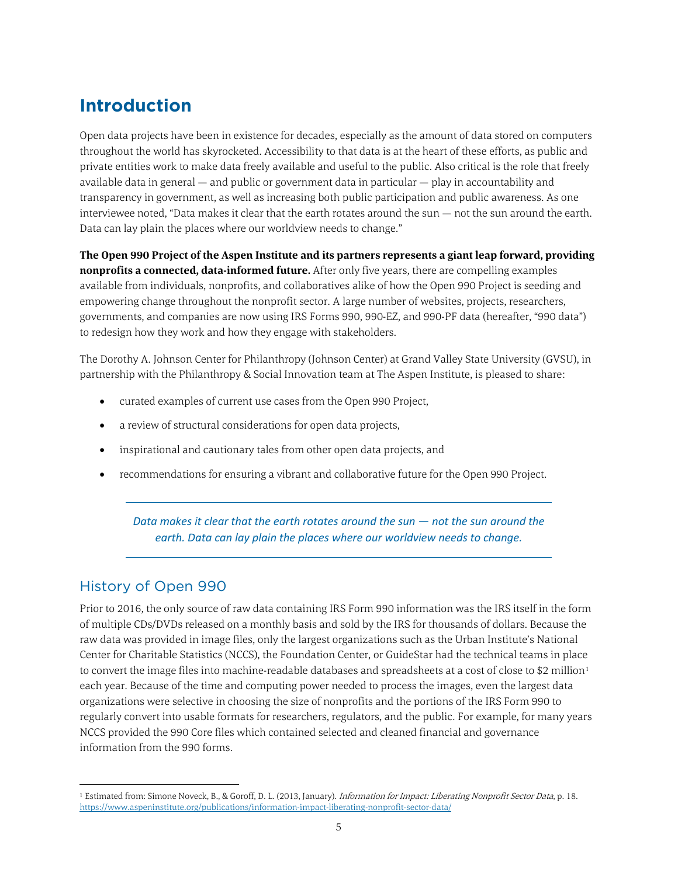## <span id="page-4-0"></span>**Introduction**

Open data projects have been in existence for decades, especially as the amount of data stored on computers throughout the world has skyrocketed. Accessibility to that data is at the heart of these efforts, as public and private entities work to make data freely available and useful to the public. Also critical is the role that freely available data in general — and public or government data in particular — play in accountability and transparency in government, as well as increasing both public participation and public awareness. As one interviewee noted, "Data makes it clear that the earth rotates around the sun — not the sun around the earth. Data can lay plain the places where our worldview needs to change."

**The Open 990 Project of the Aspen Institute and its partners represents a giant leap forward, providing nonprofits a connected, data-informed future.** After only five years, there are compelling examples available from individuals, nonprofits, and collaboratives alike of how the Open 990 Project is seeding and empowering change throughout the nonprofit sector. A large number of websites, projects, researchers, governments, and companies are now using IRS Forms 990, 990-EZ, and 990-PF data (hereafter, "990 data") to redesign how they work and how they engage with stakeholders.

The Dorothy A. Johnson Center for Philanthropy (Johnson Center) at Grand Valley State University (GVSU), in partnership with the Philanthropy & Social Innovation team at The Aspen Institute, is pleased to share:

- curated examples of current use cases from the Open 990 Project,
- a review of structural considerations for open data projects,
- inspirational and cautionary tales from other open data projects, and
- recommendations for ensuring a vibrant and collaborative future for the Open 990 Project.

*Data makes it clear that the earth rotates around the sun — not the sun around the earth. Data can lay plain the places where our worldview needs to change.*

#### <span id="page-4-1"></span>History of Open 990

Prior to 2016, the only source of raw data containing IRS Form 990 information was the IRS itself in the form of multiple CDs/DVDs released on a monthly basis and sold by the IRS for thousands of dollars. Because the raw data was provided in image files, only the largest organizations such as the Urban Institute's National Center for Charitable Statistics (NCCS), the Foundation Center, or GuideStar had the technical teams in place to convert the image files into machine-readable databases and spreadsheets at a cost of close to \$2 million<sup>[1](#page-4-2)</sup> each year. Because of the time and computing power needed to process the images, even the largest data organizations were selective in choosing the size of nonprofits and the portions of the IRS Form 990 to regularly convert into usable formats for researchers, regulators, and the public. For example, for many years NCCS provided the 990 Core files which contained selected and cleaned financial and governance information from the 990 forms.

<span id="page-4-2"></span><sup>&</sup>lt;sup>1</sup> Estimated from: Simone Noveck, B., & Goroff, D. L. (2013, January). *Information for Impact: Liberating Nonprofit Sector Data*, p. 18. <https://www.aspeninstitute.org/publications/information-impact-liberating-nonprofit-sector-data/>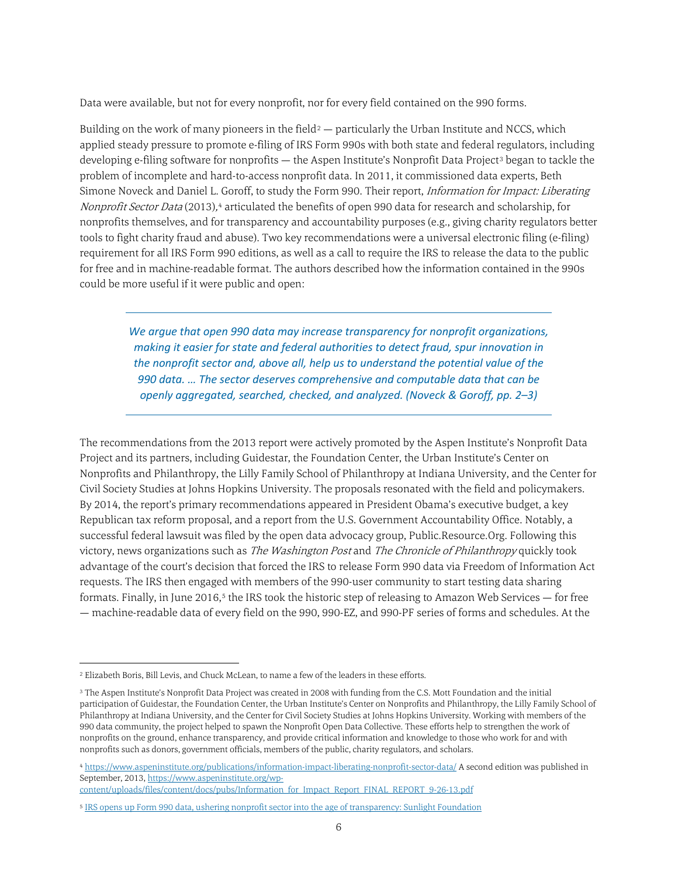Data were available, but not for every nonprofit, nor for every field contained on the 990 forms.

Building on the work of many pioneers in the field<sup>[2](#page-5-0)</sup> — particularly the Urban Institute and NCCS, which applied steady pressure to promote e-filing of IRS Form 990s with both state and federal regulators, including developing e-filing software for nonprofits — the Aspen Institute's Nonprofit Data Project<sup>[3](#page-5-1)</sup> began to tackle the problem of incomplete and hard-to-access nonprofit data. In 2011, it commissioned data experts, Beth Simone Noveck and Daniel L. Goroff, to study the Form 990. Their report, *Information for Impact: Liberating* Nonprofit Sector Data (2013),<sup>[4](#page-5-2)</sup> articulated the benefits of open 990 data for research and scholarship, for nonprofits themselves, and for transparency and accountability purposes (e.g., giving charity regulators better tools to fight charity fraud and abuse). Two key recommendations were a universal electronic filing (e-filing) requirement for all IRS Form 990 editions, as well as a call to require the IRS to release the data to the public for free and in machine-readable format. The authors described how the information contained in the 990s could be more useful if it were public and open:

*We argue that open 990 data may increase transparency for nonprofit organizations, making it easier for state and federal authorities to detect fraud, spur innovation in the nonprofit sector and, above all, help us to understand the potential value of the 990 data. … The sector deserves comprehensive and computable data that can be openly aggregated, searched, checked, and analyzed. (Noveck & Goroff, pp. 2–3)*

The recommendations from the 2013 report were actively promoted by the Aspen Institute's Nonprofit Data Project and its partners, including Guidestar, the Foundation Center, the Urban Institute's Center on Nonprofits and Philanthropy, the Lilly Family School of Philanthropy at Indiana University, and the Center for Civil Society Studies at Johns Hopkins University. The proposals resonated with the field and policymakers. By 2014, the report's primary recommendations appeared in President Obama's executive budget, a key Republican tax reform proposal, and a report from the U.S. Government Accountability Office. Notably, a successful federal lawsuit was filed by the open data advocacy group, Public.Resource.Org. Following this victory, news organizations such as The Washington Post and The Chronicle of Philanthropy quickly took advantage of the court's decision that forced the IRS to release Form 990 data via Freedom of Information Act requests. The IRS then engaged with members of the 990-user community to start testing data sharing formats. Finally, in June 2016,<sup>[5](#page-5-3)</sup> the IRS took the historic step of releasing to Amazon Web Services — for free — machine-readable data of every field on the 990, 990-EZ, and 990-PF series of forms and schedules. At the

<span id="page-5-0"></span> <sup>2</sup> Elizabeth Boris, Bill Levis, and Chuck McLean, to name a few of the leaders in these efforts.

<span id="page-5-1"></span><sup>3</sup> The Aspen Institute's Nonprofit Data Project was created in 2008 with funding from the C.S. Mott Foundation and the initial participation of Guidestar, the Foundation Center, the Urban Institute's Center on Nonprofits and Philanthropy, the Lilly Family School of Philanthropy at Indiana University, and the Center for Civil Society Studies at Johns Hopkins University. Working with members of the 990 data community, the project helped to spawn the Nonprofit Open Data Collective. These efforts help to strengthen the work of nonprofits on the ground, enhance transparency, and provide critical information and knowledge to those who work for and with nonprofits such as donors, government officials, members of the public, charity regulators, and scholars.

<span id="page-5-2"></span><sup>4</sup> <https://www.aspeninstitute.org/publications/information-impact-liberating-nonprofit-sector-data/> A second edition was published in September, 2013[, https://www.aspeninstitute.org/wp-](https://www.aspeninstitute.org/wp-%20content/uploads/files/content/docs/pubs/Information_for_Impact_Report_FINAL_REPORT_9-26-13.pdf)

[content/uploads/files/content/docs/pubs/Information\\_for\\_Impact\\_Report\\_FINAL\\_REPORT\\_9-26-13.pdf](https://www.aspeninstitute.org/wp-%20content/uploads/files/content/docs/pubs/Information_for_Impact_Report_FINAL_REPORT_9-26-13.pdf)

<span id="page-5-3"></span><sup>5</sup> [IRS opens up Form 990 data, ushering nonprofit sector into the age of transparency: Sunlight Foundation](https://sunlightfoundation.com/2016/06/16/irs-opens-up-form-990-data-ushering-nonprofit-sector-into-the-age-of-transparency/)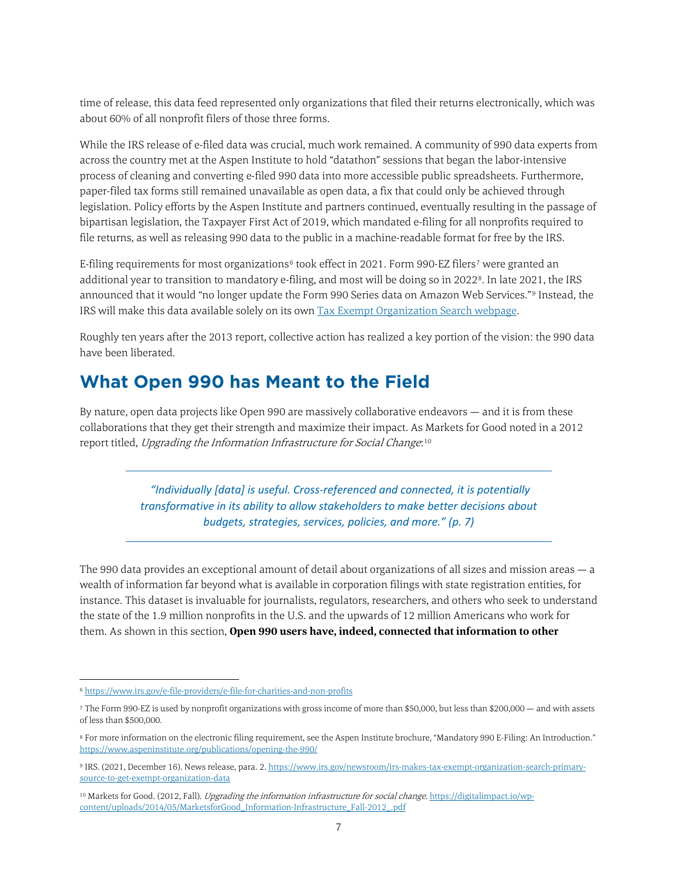time of release, this data feed represented only organizations that filed their returns electronically, which was about 60% of all nonprofit filers of those three forms.

While the IRS release of e-filed data was crucial, much work remained. A community of 990 data experts from across the country met at the Aspen Institute to hold "datathon" sessions that began the labor-intensive process of cleaning and converting e-filed 990 data into more accessible public spreadsheets. Furthermore, paper-filed tax forms still remained unavailable as open data, a fix that could only be achieved through legislation. Policy efforts by the Aspen Institute and partners continued, eventually resulting in the passage of bipartisan legislation, the Taxpayer First Act of 2019, which mandated e-filing for all nonprofits required to file returns, as well as releasing 990 data to the public in a machine-readable format for free by the IRS.

E-filing requirements for most organizations<sup>[6](#page-6-1)</sup> took effect in 2021. Form 990-EZ filers<sup>[7](#page-6-2)</sup> were granted an additional year to transition to mandatory e-filing, and most will be doing so in 2022[8](#page-6-3). In late 2021, the IRS announced that it would "no longer update the Form 990 Series data on Amazon Web Services."[9](#page-6-4) Instead, the IRS will make this data available solely on its ow[n Tax Exempt Organization Search webpage.](https://www.irs.gov/charities-non-profits/tax-exempt-organization-search)

Roughly ten years after the 2013 report, collective action has realized a key portion of the vision: the 990 data have been liberated.

### <span id="page-6-0"></span>**What Open 990 has Meant to the Field**

By nature, open data projects like Open 990 are massively collaborative endeavors — and it is from these collaborations that they get their strength and maximize their impact. As Markets for Good noted in a 2012 report titled, Upgrading the Information Infrastructure for Social Change:[10](#page-6-5)

> *"Individually [data] is useful. Cross-referenced and connected, it is potentially transformative in its ability to allow stakeholders to make better decisions about budgets, strategies, services, policies, and more." (p. 7)*

The 990 data provides an exceptional amount of detail about organizations of all sizes and mission areas — a wealth of information far beyond what is available in corporation filings with state registration entities, for instance. This dataset is invaluable for journalists, regulators, researchers, and others who seek to understand the state of the 1.9 million nonprofits in the U.S. and the upwards of 12 million Americans who work for them. As shown in this section, **Open 990 users have, indeed, connected that information to other** 

<span id="page-6-1"></span> <sup>6</sup> <https://www.irs.gov/e-file-providers/e-file-for-charities-and-non-profits>

<span id="page-6-2"></span><sup>7</sup> The Form 990-EZ is used by nonprofit organizations with gross income of more than \$50,000, but less than \$200,000 — and with assets of less than \$500,000.

<span id="page-6-3"></span><sup>8</sup> For more information on the electronic filing requirement, see the Aspen Institute brochure, "Mandatory 990 E-Filing: An Introduction." <https://www.aspeninstitute.org/publications/opening-the-990/>

<span id="page-6-4"></span><sup>9</sup> IRS. (2021, December 16). News release, para. 2[. https://www.irs.gov/newsroom/irs-makes-tax-exempt-organization-search-primary](https://www.irs.gov/newsroom/irs-makes-tax-exempt-organization-search-primary-source-to-get-exempt-organization-data)[source-to-get-exempt-organization-data](https://www.irs.gov/newsroom/irs-makes-tax-exempt-organization-search-primary-source-to-get-exempt-organization-data)

<span id="page-6-5"></span><sup>&</sup>lt;sup>10</sup> Markets for Good. (2012, Fall). *Upgrading the information infrastructure for social change.* [https://digitalimpact.io/wp](https://digitalimpact.io/wp-content/uploads/2014/05/MarketsforGood_Information-Infrastructure_Fall-2012_.pdf)[content/uploads/2014/05/MarketsforGood\\_Information-Infrastructure\\_Fall-2012\\_.pdf](https://digitalimpact.io/wp-content/uploads/2014/05/MarketsforGood_Information-Infrastructure_Fall-2012_.pdf)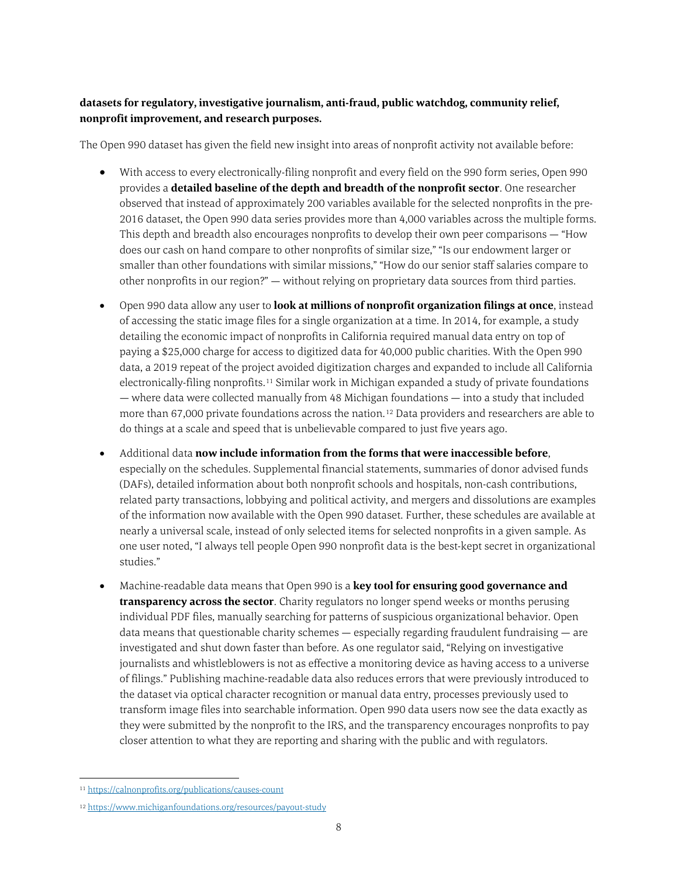#### **datasets for regulatory, investigative journalism, anti-fraud, public watchdog, community relief, nonprofit improvement, and research purposes.**

The Open 990 dataset has given the field new insight into areas of nonprofit activity not available before:

- With access to every electronically-filing nonprofit and every field on the 990 form series, Open 990 provides a **detailed baseline of the depth and breadth of the nonprofit sector**. One researcher observed that instead of approximately 200 variables available for the selected nonprofits in the pre-2016 dataset, the Open 990 data series provides more than 4,000 variables across the multiple forms. This depth and breadth also encourages nonprofits to develop their own peer comparisons — "How does our cash on hand compare to other nonprofits of similar size," "Is our endowment larger or smaller than other foundations with similar missions," "How do our senior staff salaries compare to other nonprofits in our region?" — without relying on proprietary data sources from third parties.
- Open 990 data allow any user to **look at millions of nonprofit organization filings at once**, instead of accessing the static image files for a single organization at a time. In 2014, for example, a study detailing the economic impact of nonprofits in California required manual data entry on top of paying a \$25,000 charge for access to digitized data for 40,000 public charities. With the Open 990 data, a 2019 repeat of the project avoided digitization charges and expanded to include all California electronically-filing nonprofits.[11](#page-7-0) Similar work in Michigan expanded a study of private foundations — where data were collected manually from 48 Michigan foundations — into a study that included more than 67,000 private foundations across the nation.[12](#page-7-1) Data providers and researchers are able to do things at a scale and speed that is unbelievable compared to just five years ago.
- Additional data **now include information from the forms that were inaccessible before**, especially on the schedules. Supplemental financial statements, summaries of donor advised funds (DAFs), detailed information about both nonprofit schools and hospitals, non-cash contributions, related party transactions, lobbying and political activity, and mergers and dissolutions are examples of the information now available with the Open 990 dataset. Further, these schedules are available at nearly a universal scale, instead of only selected items for selected nonprofits in a given sample. As one user noted, "I always tell people Open 990 nonprofit data is the best-kept secret in organizational studies."
- Machine-readable data means that Open 990 is a **key tool for ensuring good governance and transparency across the sector**. Charity regulators no longer spend weeks or months perusing individual PDF files, manually searching for patterns of suspicious organizational behavior. Open data means that questionable charity schemes  $-$  especially regarding fraudulent fundraising  $-$  are investigated and shut down faster than before. As one regulator said, "Relying on investigative journalists and whistleblowers is not as effective a monitoring device as having access to a universe of filings." Publishing machine-readable data also reduces errors that were previously introduced to the dataset via optical character recognition or manual data entry, processes previously used to transform image files into searchable information. Open 990 data users now see the data exactly as they were submitted by the nonprofit to the IRS, and the transparency encourages nonprofits to pay closer attention to what they are reporting and sharing with the public and with regulators.

<span id="page-7-0"></span> <sup>11</sup> <https://calnonprofits.org/publications/causes-count>

<span id="page-7-1"></span><sup>12</sup> <https://www.michiganfoundations.org/resources/payout-study>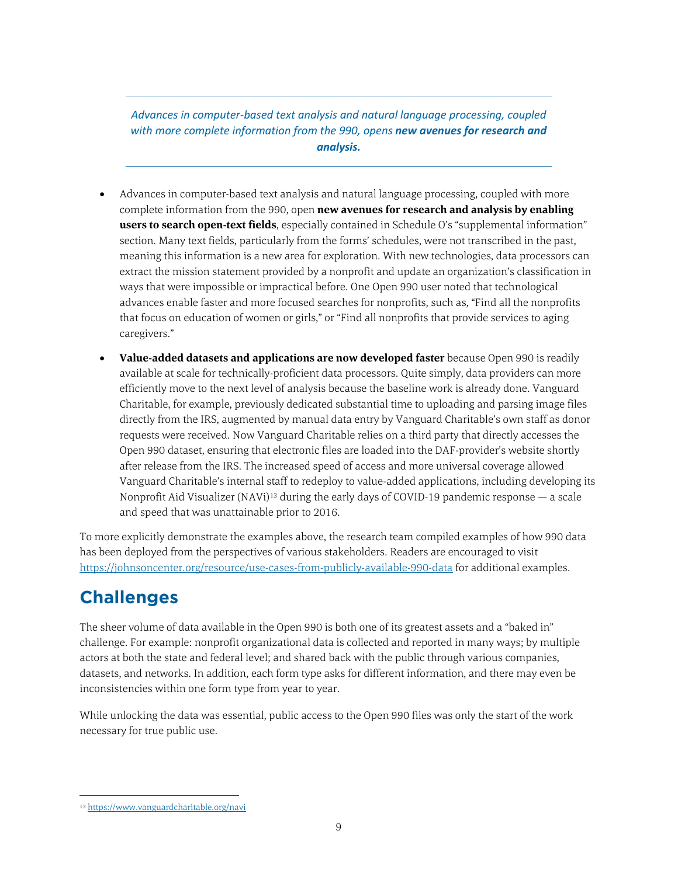*Advances in computer-based text analysis and natural language processing, coupled with more complete information from the 990, opens new avenues for research and analysis.*

- Advances in computer-based text analysis and natural language processing, coupled with more complete information from the 990, open **new avenues for research and analysis by enabling users to search open-text fields**, especially contained in Schedule O's "supplemental information" section. Many text fields, particularly from the forms' schedules, were not transcribed in the past, meaning this information is a new area for exploration. With new technologies, data processors can extract the mission statement provided by a nonprofit and update an organization's classification in ways that were impossible or impractical before. One Open 990 user noted that technological advances enable faster and more focused searches for nonprofits, such as, "Find all the nonprofits that focus on education of women or girls," or "Find all nonprofits that provide services to aging caregivers."
- Value-added datasets and applications are now developed faster because Open 990 is readily available at scale for technically-proficient data processors. Quite simply, data providers can more efficiently move to the next level of analysis because the baseline work is already done. Vanguard Charitable, for example, previously dedicated substantial time to uploading and parsing image files directly from the IRS, augmented by manual data entry by Vanguard Charitable's own staff as donor requests were received. Now Vanguard Charitable relies on a third party that directly accesses the Open 990 dataset, ensuring that electronic files are loaded into the DAF-provider's website shortly after release from the IRS. The increased speed of access and more universal coverage allowed Vanguard Charitable's internal staff to redeploy to value-added applications, including developing its Nonprofit Aid Visualizer (NAVi)[13](#page-8-1) during the early days of COVID-19 pandemic response — a scale and speed that was unattainable prior to 2016.

To more explicitly demonstrate the examples above, the research team compiled examples of how 990 data has been deployed from the perspectives of various stakeholders. Readers are encouraged to visit <https://johnsoncenter.org/resource/use-cases-from-publicly-available-990-data> for additional examples.

## <span id="page-8-0"></span>**Challenges**

The sheer volume of data available in the Open 990 is both one of its greatest assets and a "baked in" challenge. For example: nonprofit organizational data is collected and reported in many ways; by multiple actors at both the state and federal level; and shared back with the public through various companies, datasets, and networks. In addition, each form type asks for different information, and there may even be inconsistencies within one form type from year to year.

While unlocking the data was essential, public access to the Open 990 files was only the start of the work necessary for true public use.

<span id="page-8-1"></span> <sup>13</sup> <https://www.vanguardcharitable.org/navi>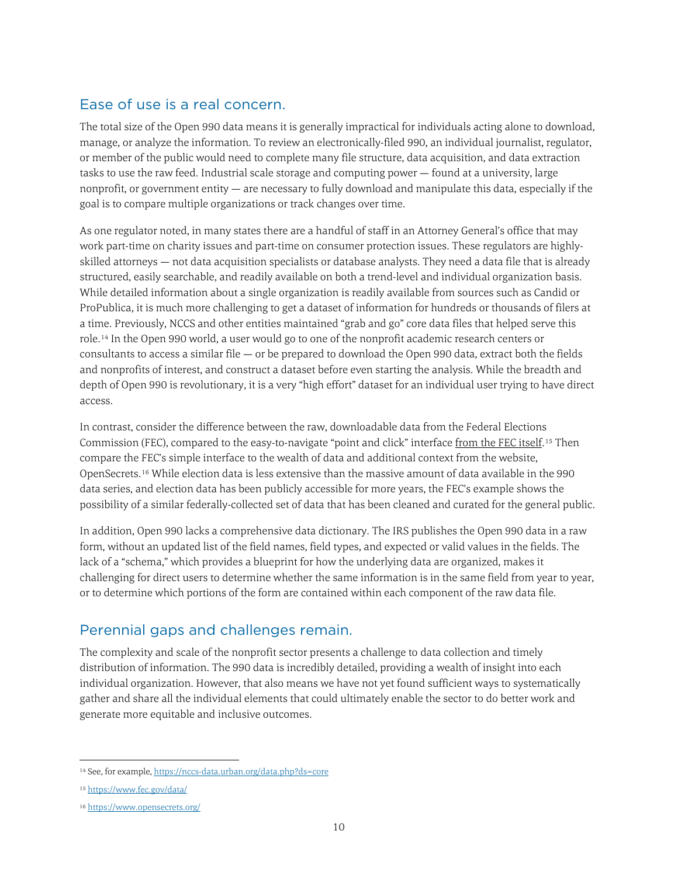#### <span id="page-9-0"></span>Ease of use is a real concern.

The total size of the Open 990 data means it is generally impractical for individuals acting alone to download, manage, or analyze the information. To review an electronically-filed 990, an individual journalist, regulator, or member of the public would need to complete many file structure, data acquisition, and data extraction tasks to use the raw feed. Industrial scale storage and computing power — found at a university, large nonprofit, or government entity — are necessary to fully download and manipulate this data, especially if the goal is to compare multiple organizations or track changes over time.

As one regulator noted, in many states there are a handful of staff in an Attorney General's office that may work part-time on charity issues and part-time on consumer protection issues. These regulators are highlyskilled attorneys — not data acquisition specialists or database analysts. They need a data file that is already structured, easily searchable, and readily available on both a trend-level and individual organization basis. While detailed information about a single organization is readily available from sources such as Candid or ProPublica, it is much more challenging to get a dataset of information for hundreds or thousands of filers at a time. Previously, NCCS and other entities maintained "grab and go" core data files that helped serve this role.[14](#page-9-2) In the Open 990 world, a user would go to one of the nonprofit academic research centers or consultants to access a similar file — or be prepared to download the Open 990 data, extract both the fields and nonprofits of interest, and construct a dataset before even starting the analysis. While the breadth and depth of Open 990 is revolutionary, it is a very "high effort" dataset for an individual user trying to have direct access.

In contrast, consider the difference between the raw, downloadable data from the Federal Elections Commission (FEC), compared to the easy-to-navigate "point and click" interface from the FEC itself.<sup>[15](#page-9-3)</sup> Then compare the FEC's simple interface to the wealth of data and additional context from the website, OpenSecrets.[16](#page-9-4) While election data is less extensive than the massive amount of data available in the 990 data series, and election data has been publicly accessible for more years, the FEC's example shows the possibility of a similar federally-collected set of data that has been cleaned and curated for the general public.

In addition, Open 990 lacks a comprehensive data dictionary. The IRS publishes the Open 990 data in a raw form, without an updated list of the field names, field types, and expected or valid values in the fields. The lack of a "schema," which provides a blueprint for how the underlying data are organized, makes it challenging for direct users to determine whether the same information is in the same field from year to year, or to determine which portions of the form are contained within each component of the raw data file.

#### <span id="page-9-1"></span>Perennial gaps and challenges remain.

The complexity and scale of the nonprofit sector presents a challenge to data collection and timely distribution of information. The 990 data is incredibly detailed, providing a wealth of insight into each individual organization. However, that also means we have not yet found sufficient ways to systematically gather and share all the individual elements that could ultimately enable the sector to do better work and generate more equitable and inclusive outcomes.

<span id="page-9-2"></span><sup>14</sup> See, for example[, https://nccs-data.urban.org/data.php?ds=core](https://nccs-data.urban.org/data.php?ds=core)

<span id="page-9-3"></span><sup>15</sup> <https://www.fec.gov/data/>

<span id="page-9-4"></span><sup>16</sup> <https://www.opensecrets.org/>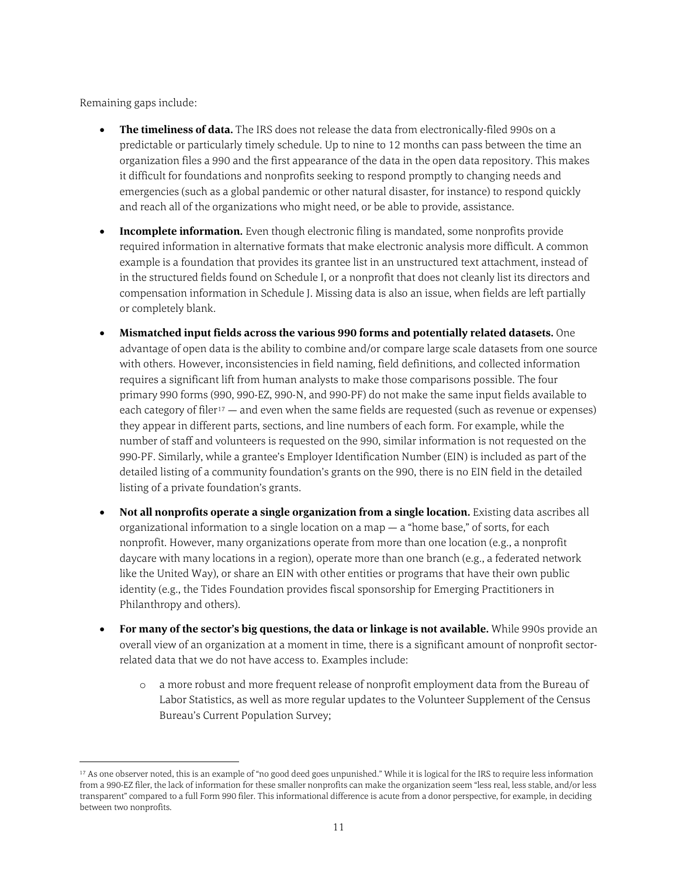Remaining gaps include:

- **The timeliness of data.** The IRS does not release the data from electronically-filed 990s on a predictable or particularly timely schedule. Up to nine to 12 months can pass between the time an organization files a 990 and the first appearance of the data in the open data repository. This makes it difficult for foundations and nonprofits seeking to respond promptly to changing needs and emergencies (such as a global pandemic or other natural disaster, for instance) to respond quickly and reach all of the organizations who might need, or be able to provide, assistance.
- **Incomplete information.** Even though electronic filing is mandated, some nonprofits provide required information in alternative formats that make electronic analysis more difficult. A common example is a foundation that provides its grantee list in an unstructured text attachment, instead of in the structured fields found on Schedule I, or a nonprofit that does not cleanly list its directors and compensation information in Schedule J. Missing data is also an issue, when fields are left partially or completely blank.
- **Mismatched input fields across the various 990 forms and potentially related datasets.** One advantage of open data is the ability to combine and/or compare large scale datasets from one source with others. However, inconsistencies in field naming, field definitions, and collected information requires a significant lift from human analysts to make those comparisons possible. The four primary 990 forms (990, 990-EZ, 990-N, and 990-PF) do not make the same input fields available to each category of filer<sup>[17](#page-10-0)</sup> — and even when the same fields are requested (such as revenue or expenses) they appear in different parts, sections, and line numbers of each form. For example, while the number of staff and volunteers is requested on the 990, similar information is not requested on the 990-PF. Similarly, while a grantee's Employer Identification Number (EIN) is included as part of the detailed listing of a community foundation's grants on the 990, there is no EIN field in the detailed listing of a private foundation's grants.
- **Not all nonprofits operate a single organization from a single location.** Existing data ascribes all organizational information to a single location on a map  $-$  a "home base," of sorts, for each nonprofit. However, many organizations operate from more than one location (e.g., a nonprofit daycare with many locations in a region), operate more than one branch (e.g., a federated network like the United Way), or share an EIN with other entities or programs that have their own public identity (e.g., the Tides Foundation provides fiscal sponsorship for Emerging Practitioners in Philanthropy and others).
- **For many of the sector's big questions, the data or linkage is not available.** While 990s provide an overall view of an organization at a moment in time, there is a significant amount of nonprofit sectorrelated data that we do not have access to. Examples include:
	- o a more robust and more frequent release of nonprofit employment data from the Bureau of Labor Statistics, as well as more regular updates to the Volunteer Supplement of the Census Bureau's Current Population Survey;

<span id="page-10-0"></span> <sup>17</sup> As one observer noted, this is an example of "no good deed goes unpunished." While it is logical for the IRS to require less information from a 990-EZ filer, the lack of information for these smaller nonprofits can make the organization seem "less real, less stable, and/or less transparent" compared to a full Form 990 filer. This informational difference is acute from a donor perspective, for example, in deciding between two nonprofits.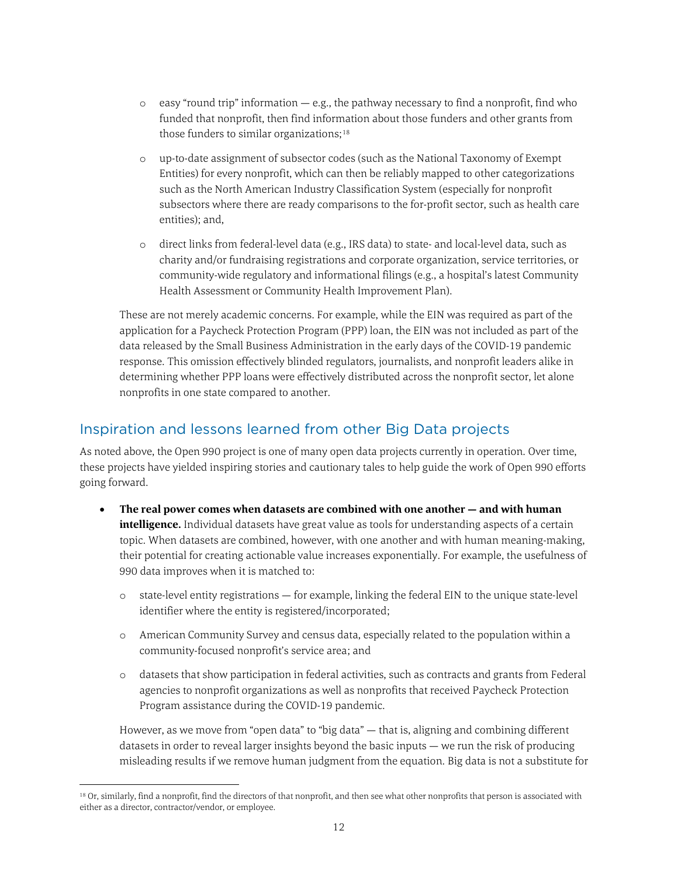- $\circ$  easy "round trip" information  $-$  e.g., the pathway necessary to find a nonprofit, find who funded that nonprofit, then find information about those funders and other grants from those funders to similar organizations;<sup>[18](#page-11-1)</sup>
- o up-to-date assignment of subsector codes (such as the National Taxonomy of Exempt Entities) for every nonprofit, which can then be reliably mapped to other categorizations such as the North American Industry Classification System (especially for nonprofit subsectors where there are ready comparisons to the for-profit sector, such as health care entities); and,
- o direct links from federal-level data (e.g., IRS data) to state- and local-level data, such as charity and/or fundraising registrations and corporate organization, service territories, or community-wide regulatory and informational filings (e.g., a hospital's latest Community Health Assessment or Community Health Improvement Plan).

These are not merely academic concerns. For example, while the EIN was required as part of the application for a Paycheck Protection Program (PPP) loan, the EIN was not included as part of the data released by the Small Business Administration in the early days of the COVID-19 pandemic response. This omission effectively blinded regulators, journalists, and nonprofit leaders alike in determining whether PPP loans were effectively distributed across the nonprofit sector, let alone nonprofits in one state compared to another.

#### <span id="page-11-0"></span>Inspiration and lessons learned from other Big Data projects

As noted above, the Open 990 project is one of many open data projects currently in operation. Over time, these projects have yielded inspiring stories and cautionary tales to help guide the work of Open 990 efforts going forward.

- **The real power comes when datasets are combined with one another — and with human intelligence.** Individual datasets have great value as tools for understanding aspects of a certain topic. When datasets are combined, however, with one another and with human meaning-making, their potential for creating actionable value increases exponentially. For example, the usefulness of 990 data improves when it is matched to:
	- o state-level entity registrations for example, linking the federal EIN to the unique state-level identifier where the entity is registered/incorporated;
	- o American Community Survey and census data, especially related to the population within a community-focused nonprofit's service area; and
	- o datasets that show participation in federal activities, such as contracts and grants from Federal agencies to nonprofit organizations as well as nonprofits that received Paycheck Protection Program assistance during the COVID-19 pandemic.

However, as we move from "open data" to "big data" — that is, aligning and combining different datasets in order to reveal larger insights beyond the basic inputs — we run the risk of producing misleading results if we remove human judgment from the equation. Big data is not a substitute for

<span id="page-11-1"></span><sup>18</sup> Or, similarly, find a nonprofit, find the directors of that nonprofit, and then see what other nonprofits that person is associated with either as a director, contractor/vendor, or employee.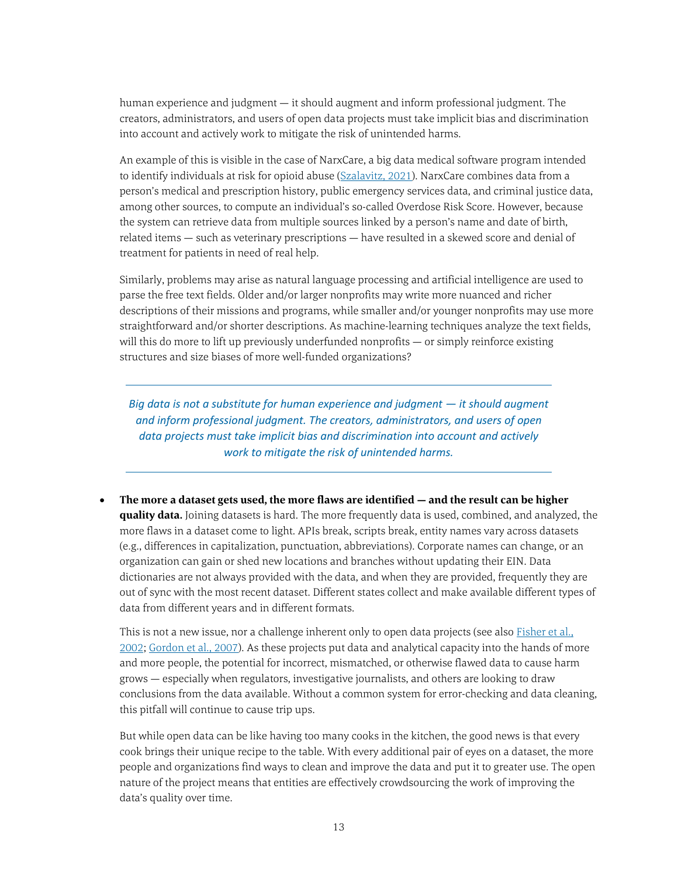human experience and judgment — it should augment and inform professional judgment. The creators, administrators, and users of open data projects must take implicit bias and discrimination into account and actively work to mitigate the risk of unintended harms.

An example of this is visible in the case of NarxCare, a big data medical software program intended to identify individuals at risk for opioid abuse [\(Szalavitz, 2021\)](https://www.wired.com/story/opioid-drug-addiction-algorithm-chronic-pain/). NarxCare combines data from a person's medical and prescription history, public emergency services data, and criminal justice data, among other sources, to compute an individual's so-called Overdose Risk Score. However, because the system can retrieve data from multiple sources linked by a person's name and date of birth, related items — such as veterinary prescriptions — have resulted in a skewed score and denial of treatment for patients in need of real help.

Similarly, problems may arise as natural language processing and artificial intelligence are used to parse the free text fields. Older and/or larger nonprofits may write more nuanced and richer descriptions of their missions and programs, while smaller and/or younger nonprofits may use more straightforward and/or shorter descriptions. As machine-learning techniques analyze the text fields, will this do more to lift up previously underfunded nonprofits — or simply reinforce existing structures and size biases of more well-funded organizations?

*Big data is not a substitute for human experience and judgment — it should augment and inform professional judgment. The creators, administrators, and users of open data projects must take implicit bias and discrimination into account and actively work to mitigate the risk of unintended harms.*

• **The more a dataset gets used, the more flaws are identified — and the result can be higher quality data.** Joining datasets is hard. The more frequently data is used, combined, and analyzed, the more flaws in a dataset come to light. APIs break, scripts break, entity names vary across datasets (e.g., differences in capitalization, punctuation, abbreviations). Corporate names can change, or an organization can gain or shed new locations and branches without updating their EIN. Data dictionaries are not always provided with the data, and when they are provided, frequently they are out of sync with the most recent dataset. Different states collect and make available different types of data from different years and in different formats.

This is not a new issue, nor a challenge inherent only to open data projects (see also Fisher et al., [2002;](https://www.proquest.com/docview/213984302?fromopenview=true&pq-origsite=gscholar) [Gordon et al., 2007\)](https://www.proquest.com/docview/213986699?pq-origsite=gscholar&fromopenview=true). As these projects put data and analytical capacity into the hands of more and more people, the potential for incorrect, mismatched, or otherwise flawed data to cause harm grows — especially when regulators, investigative journalists, and others are looking to draw conclusions from the data available. Without a common system for error-checking and data cleaning, this pitfall will continue to cause trip ups.

But while open data can be like having too many cooks in the kitchen, the good news is that every cook brings their unique recipe to the table. With every additional pair of eyes on a dataset, the more people and organizations find ways to clean and improve the data and put it to greater use. The open nature of the project means that entities are effectively crowdsourcing the work of improving the data's quality over time.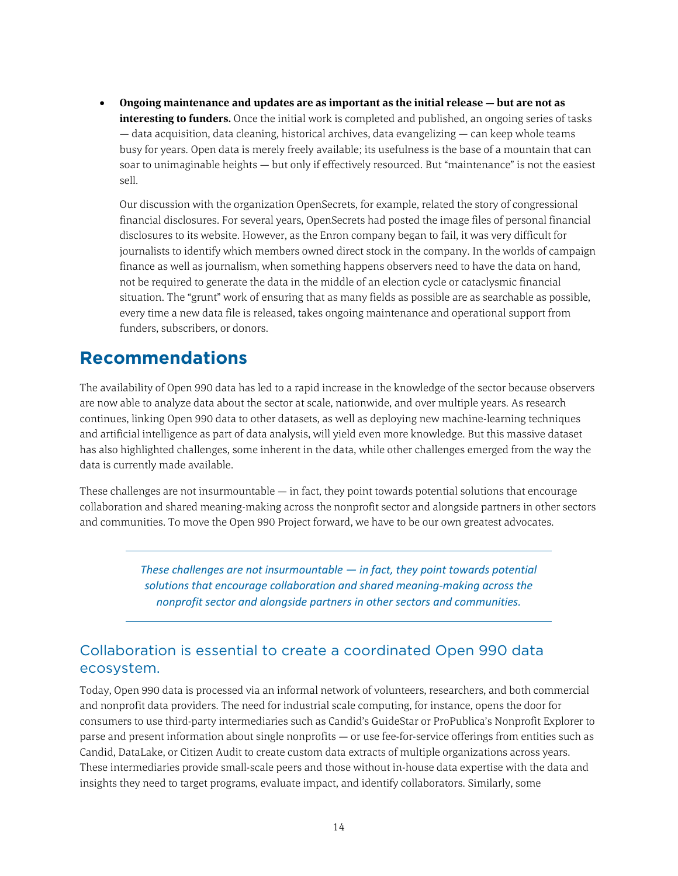• **Ongoing maintenance and updates are as important as the initial release — but are not as interesting to funders.** Once the initial work is completed and published, an ongoing series of tasks — data acquisition, data cleaning, historical archives, data evangelizing — can keep whole teams busy for years. Open data is merely freely available; its usefulness is the base of a mountain that can soar to unimaginable heights — but only if effectively resourced. But "maintenance" is not the easiest sell.

Our discussion with the organization OpenSecrets, for example, related the story of congressional financial disclosures. For several years, OpenSecrets had posted the image files of personal financial disclosures to its website. However, as the Enron company began to fail, it was very difficult for journalists to identify which members owned direct stock in the company. In the worlds of campaign finance as well as journalism, when something happens observers need to have the data on hand, not be required to generate the data in the middle of an election cycle or cataclysmic financial situation. The "grunt" work of ensuring that as many fields as possible are as searchable as possible, every time a new data file is released, takes ongoing maintenance and operational support from funders, subscribers, or donors.

#### <span id="page-13-0"></span>**Recommendations**

The availability of Open 990 data has led to a rapid increase in the knowledge of the sector because observers are now able to analyze data about the sector at scale, nationwide, and over multiple years. As research continues, linking Open 990 data to other datasets, as well as deploying new machine-learning techniques and artificial intelligence as part of data analysis, will yield even more knowledge. But this massive dataset has also highlighted challenges, some inherent in the data, while other challenges emerged from the way the data is currently made available.

These challenges are not insurmountable  $-$  in fact, they point towards potential solutions that encourage collaboration and shared meaning-making across the nonprofit sector and alongside partners in other sectors and communities. To move the Open 990 Project forward, we have to be our own greatest advocates.

> *These challenges are not insurmountable — in fact, they point towards potential solutions that encourage collaboration and shared meaning-making across the nonprofit sector and alongside partners in other sectors and communities.*

#### <span id="page-13-1"></span>Collaboration is essential to create a coordinated Open 990 data ecosystem.

Today, Open 990 data is processed via an informal network of volunteers, researchers, and both commercial and nonprofit data providers. The need for industrial scale computing, for instance, opens the door for consumers to use third-party intermediaries such as Candid's GuideStar or ProPublica's Nonprofit Explorer to parse and present information about single nonprofits — or use fee-for-service offerings from entities such as Candid, DataLake, or Citizen Audit to create custom data extracts of multiple organizations across years. These intermediaries provide small-scale peers and those without in-house data expertise with the data and insights they need to target programs, evaluate impact, and identify collaborators. Similarly, some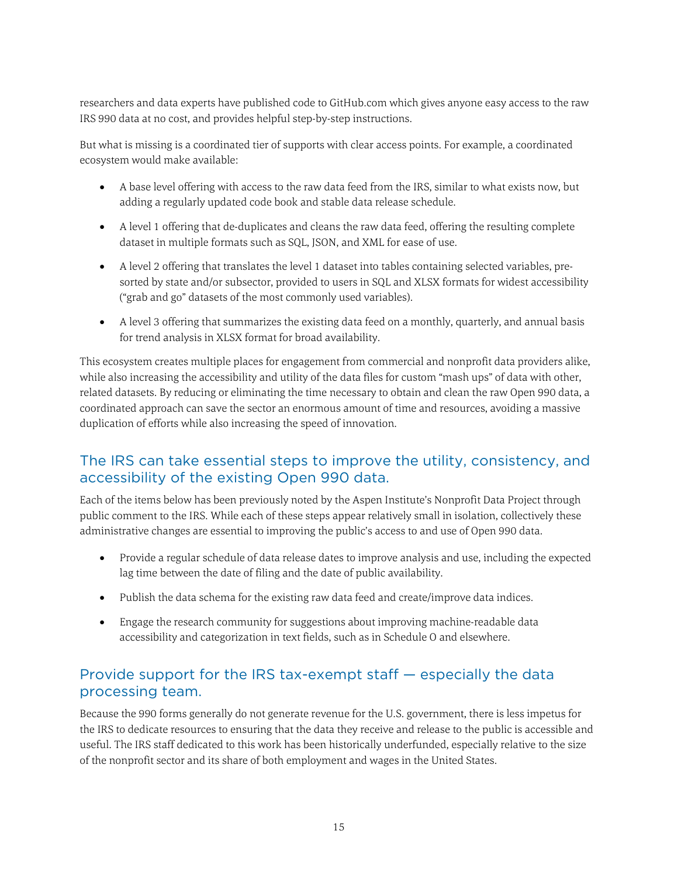researchers and data experts have published code to GitHub.com which gives anyone easy access to the raw IRS 990 data at no cost, and provides helpful step-by-step instructions.

But what is missing is a coordinated tier of supports with clear access points. For example, a coordinated ecosystem would make available:

- A base level offering with access to the raw data feed from the IRS, similar to what exists now, but adding a regularly updated code book and stable data release schedule.
- A level 1 offering that de-duplicates and cleans the raw data feed, offering the resulting complete dataset in multiple formats such as SQL, JSON, and XML for ease of use.
- A level 2 offering that translates the level 1 dataset into tables containing selected variables, presorted by state and/or subsector, provided to users in SQL and XLSX formats for widest accessibility ("grab and go" datasets of the most commonly used variables).
- A level 3 offering that summarizes the existing data feed on a monthly, quarterly, and annual basis for trend analysis in XLSX format for broad availability.

This ecosystem creates multiple places for engagement from commercial and nonprofit data providers alike, while also increasing the accessibility and utility of the data files for custom "mash ups" of data with other, related datasets. By reducing or eliminating the time necessary to obtain and clean the raw Open 990 data, a coordinated approach can save the sector an enormous amount of time and resources, avoiding a massive duplication of efforts while also increasing the speed of innovation.

#### <span id="page-14-0"></span>The IRS can take essential steps to improve the utility, consistency, and accessibility of the existing Open 990 data.

Each of the items below has been previously noted by the Aspen Institute's Nonprofit Data Project through public comment to the IRS. While each of these steps appear relatively small in isolation, collectively these administrative changes are essential to improving the public's access to and use of Open 990 data.

- Provide a regular schedule of data release dates to improve analysis and use, including the expected lag time between the date of filing and the date of public availability.
- Publish the data schema for the existing raw data feed and create/improve data indices.
- Engage the research community for suggestions about improving machine-readable data accessibility and categorization in text fields, such as in Schedule O and elsewhere.

#### <span id="page-14-1"></span>Provide support for the IRS tax-exempt staff — especially the data processing team.

Because the 990 forms generally do not generate revenue for the U.S. government, there is less impetus for the IRS to dedicate resources to ensuring that the data they receive and release to the public is accessible and useful. The IRS staff dedicated to this work has been historically underfunded, especially relative to the size of the nonprofit sector and its share of both employment and wages in the United States.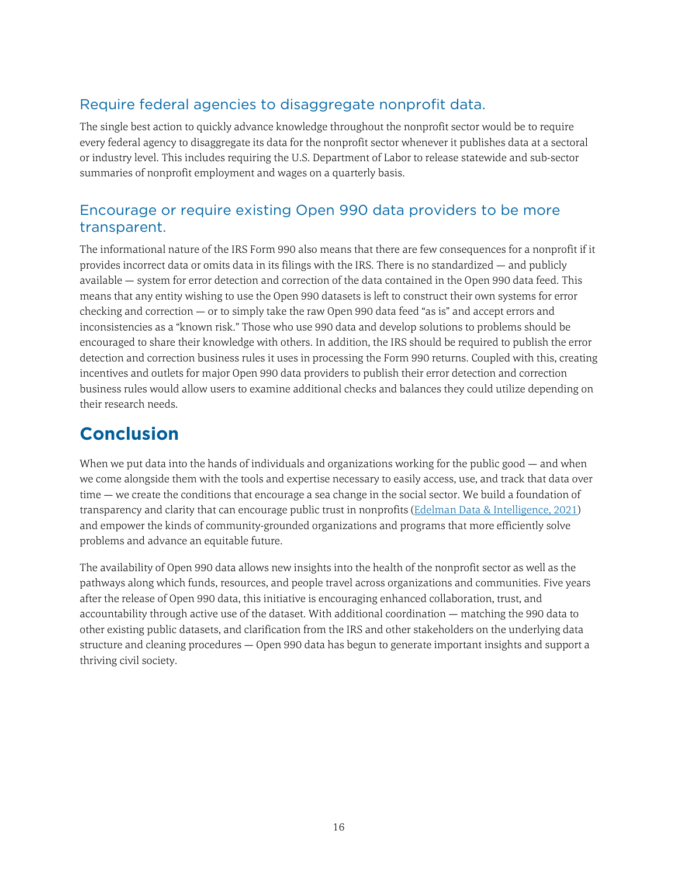#### <span id="page-15-0"></span>Require federal agencies to disaggregate nonprofit data.

The single best action to quickly advance knowledge throughout the nonprofit sector would be to require every federal agency to disaggregate its data for the nonprofit sector whenever it publishes data at a sectoral or industry level. This includes requiring the U.S. Department of Labor to release statewide and sub-sector summaries of nonprofit employment and wages on a quarterly basis.

#### <span id="page-15-1"></span>Encourage or require existing Open 990 data providers to be more transparent.

The informational nature of the IRS Form 990 also means that there are few consequences for a nonprofit if it provides incorrect data or omits data in its filings with the IRS. There is no standardized — and publicly available — system for error detection and correction of the data contained in the Open 990 data feed. This means that any entity wishing to use the Open 990 datasets is left to construct their own systems for error checking and correction — or to simply take the raw Open 990 data feed "as is" and accept errors and inconsistencies as a "known risk." Those who use 990 data and develop solutions to problems should be encouraged to share their knowledge with others. In addition, the IRS should be required to publish the error detection and correction business rules it uses in processing the Form 990 returns. Coupled with this, creating incentives and outlets for major Open 990 data providers to publish their error detection and correction business rules would allow users to examine additional checks and balances they could utilize depending on their research needs.

## <span id="page-15-2"></span>**Conclusion**

When we put data into the hands of individuals and organizations working for the public good — and when we come alongside them with the tools and expertise necessary to easily access, use, and track that data over time — we create the conditions that encourage a sea change in the social sector. We build a foundation of transparency and clarity that can encourage public trust in nonprofits [\(Edelman Data & Intelligence, 2021](https://www.edelman.com/trust/2021-trust-barometer)) and empower the kinds of community-grounded organizations and programs that more efficiently solve problems and advance an equitable future.

The availability of Open 990 data allows new insights into the health of the nonprofit sector as well as the pathways along which funds, resources, and people travel across organizations and communities. Five years after the release of Open 990 data, this initiative is encouraging enhanced collaboration, trust, and accountability through active use of the dataset. With additional coordination — matching the 990 data to other existing public datasets, and clarification from the IRS and other stakeholders on the underlying data structure and cleaning procedures — Open 990 data has begun to generate important insights and support a thriving civil society.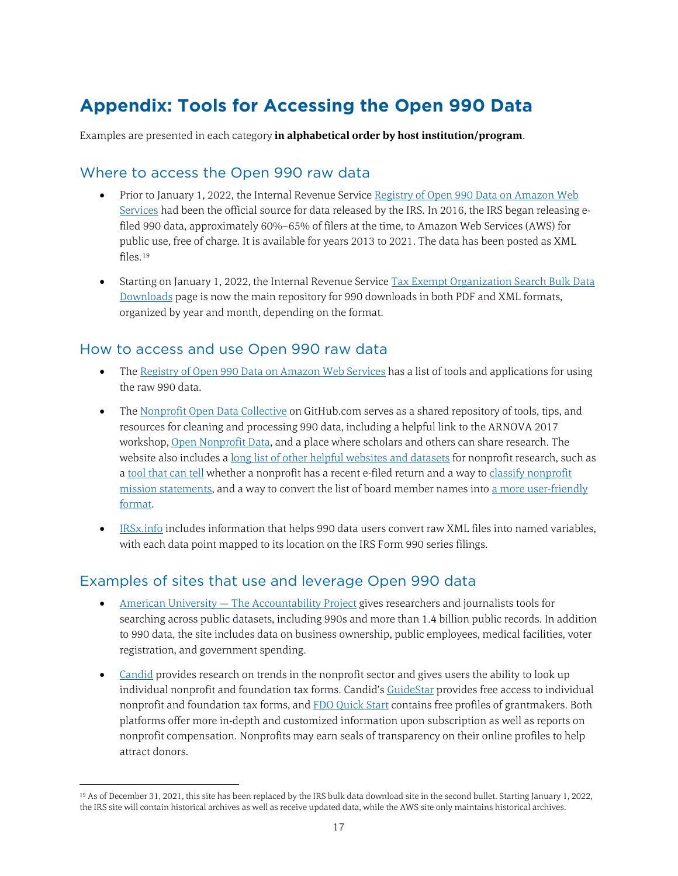## <span id="page-16-0"></span>**Appendix: Tools for Accessing the Open 990 Data**

Examples are presented in each category **in alphabetical order by host institution/program**.

#### <span id="page-16-1"></span>Where to access the Open 990 raw data

- Prior to January 1, 2022, the Internal Revenue Service Registry of Open 990 Data on Amazon Web [Services](https://registry.opendata.aws/irs990/) had been the official source for data released by the IRS. In 2016, the IRS began releasing efiled 990 data, approximately 60%–65% of filers at the time, to Amazon Web Services (AWS) for public use, free of charge. It is available for years 2013 to 2021. The data has been posted as XML files.[19](#page-16-4)
- Starting on January 1, 2022, the Internal Revenue Service Tax Exempt Organization Search Bulk Data [Downloads](https://www.irs.gov/charities-non-profits/tax-exempt-organization-search-bulk-data-downloads) page is now the main repository for 990 downloads in both PDF and XML formats, organized by year and month, depending on the format.

#### <span id="page-16-2"></span>How to access and use Open 990 raw data

- Th[e Registry of Open 990 Data on Amazon Web Services](https://registry.opendata.aws/irs990/) has a list of tools and applications for using the raw 990 data.
- Th[e Nonprofit Open Data Collective](https://nonprofit-open-data-collective.github.io/) on GitHub.com serves as a shared repository of tools, tips, and resources for cleaning and processing 990 data, including a helpful link to the ARNOVA 2017 workshop, [Open Nonprofit Data,](https://lecy.github.io/arnova-2017-workshop/OpenData/) and a place where scholars and others can share research. The website also includes [a long list of other helpful websites and datasets](https://nonprofit-open-data-collective.github.io/overview/) for nonprofit research, such as [a tool that can tell](https://github.com/fjsantam/nonprofit-efiler-990s) whether a nonprofit has a recent e-filed return and a way to [classify nonprofit](https://nonprofit-open-data-collective.github.io/machine_learning_mission_codes/)  [mission statements,](https://nonprofit-open-data-collective.github.io/machine_learning_mission_codes/) and a way to convert the list of board member names int[o a more user-friendly](https://github.com/Nonprofit-Open-Data-Collective/peopleparser/blob/master/README.md)  [format.](https://github.com/Nonprofit-Open-Data-Collective/peopleparser/blob/master/README.md)
- [IRSx.info](http://www.irsx.info/metadata/forms.html) includes information that helps 990 data users convert raw XML files into named variables, with each data point mapped to its location on the IRS Form 990 series filings.

#### <span id="page-16-3"></span>Examples of sites that use and leverage Open 990 data

- American University [The Accountability Project](https://www.publicaccountability.org/) gives researchers and journalists tools for searching across public datasets, including 990s and more than 1.4 billion public records. In addition to 990 data, the site includes data on business ownership, public employees, medical facilities, voter registration, and government spending.
- [Candid](https://candid.org/) provides research on trends in the nonprofit sector and gives users the ability to look up individual nonprofit and foundation tax forms. Candid'[s GuideStar](https://www.guidestar.org/) provides free access to individual nonprofit and foundation tax forms, and [FDO Quick Start](https://fconline.foundationcenter.org/welcome/quick-start) contains free profiles of grantmakers. Both platforms offer more in-depth and customized information upon subscription as well as reports on nonprofit compensation. Nonprofits may earn seals of transparency on their online profiles to help attract donors.

<span id="page-16-4"></span> <sup>19</sup> As of December 31, 2021, this site has been replaced by the IRS bulk data download site in the second bullet. Starting January 1, 2022, the IRS site will contain historical archives as well as receive updated data, while the AWS site only maintains historical archives.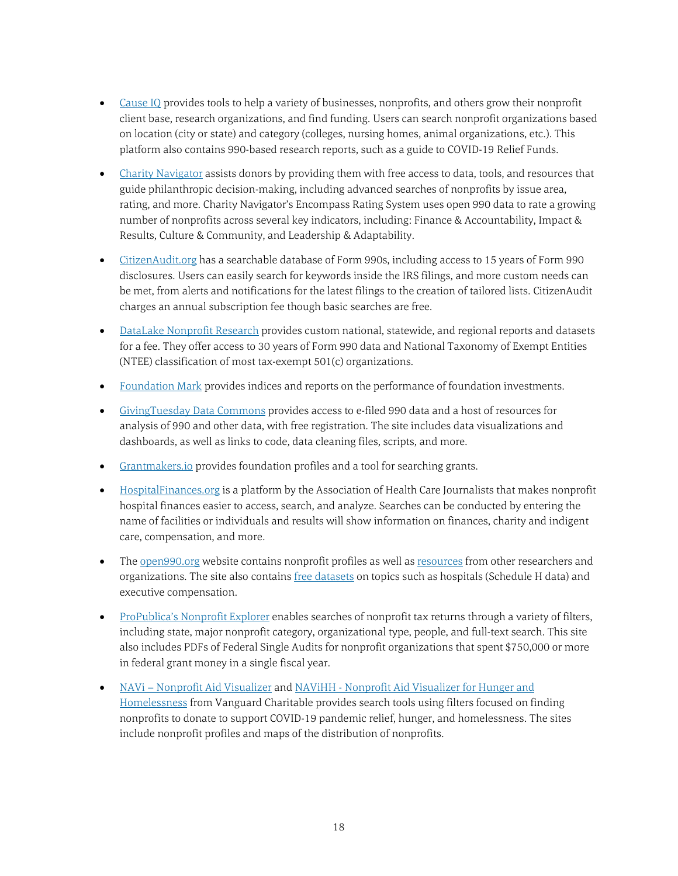- [Cause IQ](https://www.causeiq.com/) provides tools to help a variety of businesses, nonprofits, and others grow their nonprofit client base, research organizations, and find funding. Users can search nonprofit organizations based on location (city or state) and category (colleges, nursing homes, animal organizations, etc.). This platform also contains 990-based research reports, such as a guide to COVID-19 Relief Funds.
- [Charity Navigator](https://www.charitynavigator.org/) assists donors by providing them with free access to data, tools, and resources that guide philanthropic decision-making, including advanced searches of nonprofits by issue area, rating, and more. Charity Navigator's Encompass Rating System uses open 990 data to rate a growing number of nonprofits across several key indicators, including: Finance & Accountability, Impact & Results, Culture & Community, and Leadership & Adaptability.
- [CitizenAudit.org](https://www.citizenaudit.org/) has a searchable database of Form 990s, including access to 15 years of Form 990 disclosures. Users can easily search for keywords inside the IRS filings, and more custom needs can be met, from alerts and notifications for the latest filings to the creation of tailored lists. CitizenAudit charges an annual subscription fee though basic searches are free.
- [DataLake Nonprofit Research](https://www.datalake.net/) provides custom national, statewide, and regional reports and datasets for a fee. They offer access to 30 years of Form 990 data and National Taxonomy of Exempt Entities (NTEE) classification of most tax-exempt 501(c) organizations.
- [Foundation Mark](https://www.foundationmark.com/#/) provides indices and reports on the performance of foundation investments.
- [GivingTuesday Data Commons](https://www.givingtuesday.org/insights/givingtuesday-data-commons/) provides access to e-filed 990 data and a host of resources for analysis of 990 and other data, with free registration. The site includes data visualizations and dashboards, as well as links to code, data cleaning files, scripts, and more.
- [Grantmakers.io](https://www.grantmakers.io/) provides foundation profiles and a tool for searching grants.
- [HospitalFinances.org](http://www.hospitalfinances.org/) is a platform by the Association of Health Care Journalists that makes nonprofit hospital finances easier to access, search, and analyze. Searches can be conducted by entering the name of facilities or individuals and results will show information on finances, charity and indigent care, compensation, and more.
- Th[e open990.org](https://www.open990.org/org/) website contains nonprofit profiles as well as [resources](https://www.open990.org/resources/) from other researchers and organizations. The site also contain[s free datasets](https://www.open990.org/catalog/) on topics such as hospitals (Schedule H data) and executive compensation.
- [ProPublica's Nonprofit Explorer](https://projects.propublica.org/nonprofits/) enables searches of nonprofit tax returns through a variety of filters, including state, major nonprofit category, organizational type, people, and full-text search. This site also includes PDFs of Federal Single Audits for nonprofit organizations that spent \$750,000 or more in federal grant money in a single fiscal year.
- <span id="page-17-0"></span>• NAVi – [Nonprofit Aid Visualizer](https://map.vanguardcharitable.org/) and NAViHH - Nonprofit Aid Visualizer for Hunger and [Homelessness](https://hunger.navi.vanguardcharitable.org/) from Vanguard Charitable provides search tools using filters focused on finding nonprofits to donate to support COVID-19 pandemic relief, hunger, and homelessness. The sites include nonprofit profiles and maps of the distribution of nonprofits.